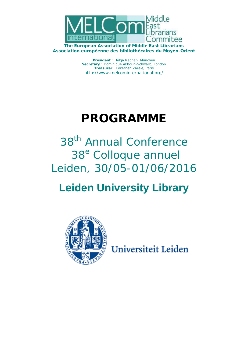

**The European Association of Middle East Librarians Association européenne des bibliothécaires du Moyen-Orient** 

> **President** : Helga Rebhan, München **Secretary** : Dominique Akhoun-Schwarb, London **Treasurer** : Farzaneh Zareie, Paris http://www.melcominternational.org/

# **PROGRAMME**

38<sup>th</sup> Annual Conference 38<sup>e</sup> Colloque annuel Leiden, 30/05-01/06/2016

## **Leiden University Library**



Universiteit Leiden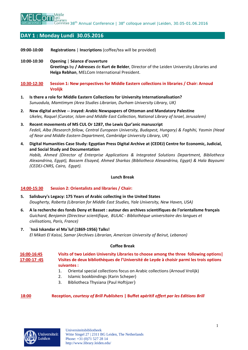

## **DAY 1 : Monday Lundi 30.05.2016**

- **09:00-10:00 Registrations** | **Inscriptions** (coffee/tea will be provided)
- **10:00-10:30 Opening** | **Séance d'ouverture Greetings** by **/ Adresses** de **Kurt de Belder**, Director of the Leiden University Libraries and **Helga Rebhan**, MELCom International President.
- **10:30-12:30 Session 1: New perspectives for Middle Eastern collections in libraries / Chair: Arnoud Vrolijk**
- **1. Is there a role for Middle Eastern Collections for University Internationalisation?**  *Sunuodula, Mamtimym (Area Studies Librarian, Durham University Library, UK)*
- **2. New digital archive -- Jrayed: Arabic Newspapers of Ottoman and Mandatory Palestine**  *Ukeles, Raquel (Curator, Islam and Middle East Collection, National Library of Israel, Jerusalem)*
- **3. Recent movements of MS CUL Or 1287, the Lewis Qur'anic manuscript**  *Fedeli, Alba (Research fellow, Central European University, Budapest, Hungary) & Faghihi, Yasmin (Head of Near and Middle Eastern Department, Cambridge University Library, UK)*
- **4. Digital Humanities Case Study: Egyptian Press Digital Archive at (CEDEJ) Centre for Economic, Judicial, and Social Study and Documentation**

*Habib, Ahmed (Director of Enterprise Applications & Integrated Solutions Department, Bibliotheca Alexandrina, Egypt), Bassem Elsayed, Ahmed Sharkas (Bibliotheca Alexandrina, Egypt) & Hala Bayoumi (CEDEJ-CNRS, Cairo, Egypt).*

#### **Lunch Break**

## **14:00-15:30 Session 2: Orientalists and libraries / Chair:**

- **5. Salisbury's Legacy: 175 Years of Arabic collecting in the United States**  *Dougherty, Roberta (Librarian for Middle East Studies, Yale University, New Haven, USA)*
- **6. A la recherche des fonds Deny et Basset : autour des archives scientifiques de l'orientalisme français**  *Guichard, Benjamin (Directeur scientifique, BULAC - Bibliothèque universitaire des langues et civilisations, Paris, France)*
- **7. `Issá Iskandar el Ma`luf (1869-1956) Talks!**  *El Mikati El Kaissi, Samar (Archives Librarian, American University of Beirut, Lebanon)*

#### **Coffee Break**

**16:00-16:45 17:00-17 :45 Visits of two Leiden University Libraries to choose among the three following options| Visites de deux bibliothèques de l'Université de Leyde à choisir parmi les trois options suivantes :** 

- 1. Oriental special collections focus on Arabic collections (Arnoud Vrolijk)
- 2. Islamic bookbindings (Karin Scheper)
- 3. Bibliotheca Thysiana (Paul Hoftijzer)

## **18:00 Reception,** *courtesy of Brill Publishers* **| Buffet apéritif** *offert par les Editions Brill*

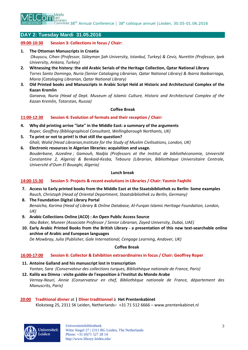

38<sup>th</sup> Annual Conference | 38<sup>e</sup> colloque annuel | Leiden, 30.05-01.06.2016

## **DAY 2: Tuesday Mardi 31.05.2016**

## **09:00-10:30 Session 3: Collections in focus / Chair:**

**1. The Ottoman Manuscripts in Croatia** 

 *Okuyucu, Cihan (Professor, Süleyman Şah University, Istanbul, Turkey) & Ceviz, Nurettin (Professor, Ipek University, Ankara, Turkey)* 

- **2. Witnessing the history: the old Arabic Serials of the Heritage Collection, Qatar National Library**  *Torres Santo Domingo, Nuria (Senior Cataloging Librarian, Qatar National Library) & Ibarra Ibaibarriaga, Maria (Cataloging Librarian, Qatar National Library)*
- **3. Old Printed books and Manuscripts in Arabic Script Held at Historic and Architectural Complex of the Kazan Kremlin**

*Garaeva, Nuria (Head of Dept. Museum of Islamic Culture, Historic and Architectural Complex of the Kazan Kremlin, Tatarstan, Russia)* 

#### **Coffee Break**

## **11:00-12:30 Session 4: Evolution of formats and their reception / Chair:**

- **4. Why did printing arrive "late" in the Middle East: a summary of the arguments**  *Roper, Geoffrey (Bibliographical Consultant, Wellingborough Northants, UK)*
- **5. To print or not to print! Is that still the question?**  *Ghali, Walid (Head Librarian,Institute for the Study of Muslim Civilisations, London, UK)*
- **6. Electronic resources in Algerian libraries: acquisition and usage.**  *Bouderbane, Azzedine ; Gamouh, Nadjia (Professors at the Institut de bibliothéconomie, Université Constantine 2, Algeria) & Benkaid-Kesba, Teboura (Librarian, Bibliothèque Universitaire Centrale, Université d'Oum El Bouaghi, Algeria)*

#### **Lunch break**

## **14:00-15:30 Session 5: Projects & recent evolutions in Libraries / Chair: Yasmin Faqhihi**

- **7. Access to Early printed books from the Middle East at the Staatsbibliothek zu Berlin: Some examples**  *Rauch, Christoph (Head of Oriental Department, Staatsbibliothek zu Berlin, Germany)*
- **8. The Foundation Digital Library Portal**  *Benaicha, Karima (Head of Library & Online Database, Al-Furqan Islamic Heritage Foundation, London, UK)*
- **9. Arabic Collections Online (ACO) : An Open Public Access Source**  *Abu Baker, Muneer (Associate Professor / Senior Librarian, Zayed University, Dubai, UAE)*
- **10. Early Arabic Printed Books from the British Library a presentation of this new text-searchable online archive of Arabic and European languages**

*De Mowbray, Julia (Publisher, Gale International, Cengage Learning, Andover, UK)* 

## **Coffee Break**

## **16:00-17:00 Session 6: Collector & Exhibition extraordinaires in focus / Chair: Geoffrey Roper**

- **11. Antoine Galland and his manuscript lost in transcription**  *Yontan, Sara (Conservateur des collections turques, Bibliothèque nationale de France, Paris)*
- **12. Kalila wa Dimna : visite guidée de l'exposition à l'Institut du Monde Arabe**  *Vernay-Nouri, Annie (Conservateur en chef, Bibliothèque nationale de France, département des Manuscrits, Paris)*

## **20:00 Traditional dinner** at **| Dîner traditionnel** à **Het Prentenkabinet**

Kloksteeg 25, 2311 SK Leiden, Netherlands– +31 71 512 6666 – www.prentenkabinet.nl

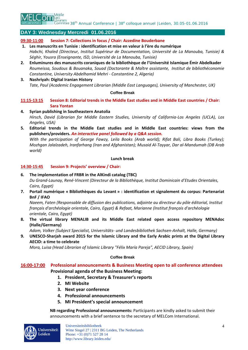

38<sup>th</sup> Annual Conference | 38<sup>e</sup> colloque annuel | Leiden, 30.05-01.06.2016

## **DAY 3: Wednesday Mercredi 01.06.2016**

## **09:30-11:00 Session 7: Collections in focus / Chair: Azzedine Bouderbane**

- **1. Les manuscrits en Tunisie : identification et mise en valeur à l'ère du numérique**  *Habchi, Khaled (Directeur, Institut Supérieur de Documentation, Université de La Manouba, Tunisie) & Séghir, Yousra (Enseignante, ISD, Université de La Manouba, Tunisie)*
- **2. Enluminures des manuscrits coraniques de la bibliothèque de l'Université Islamique Émir Abdelkader**  *Roumeissa, Soudous & Bouanaka, Souad (Doctorante & Maître assistante, Institut de bibliothéconomie Constantine, University Abdelhamid Mehri - Constantine 2, Algeria)*

## **3. Nashriyah: Digital Iranian History**  *Tate, Paul (Academic Engagement Librarian (Middle East Languages), University of Manchester, UK)*

## **Coffee Break**

## **11:15-13:15 Session 8: Editorial trends in the Middle East studies and in Middle East countries / Chair: Sara Yontan**

- **4. Syrian publishing in Southeastern Anatolia**  *Hirsch, David (Librarian for Middle Eastern Studies, University of California-Los Angeles (UCLA), Los Angeles, USA)*
- **5. Editorial trends in the Middle East studies and in Middle East countries: views from the publishers/providers.** *An interactive panel followed by a Q&A session.*

*With the participation of George Fawzy, Leila Books (Arab world); Rifat Bali, Libra Books (Turkey); Mozhgan Jalalzadeh, Iranfarhang (Iran and Afghanistan); Musaid Al-Tayyar, Dar al-Mandumah (DB Arab world)*

## **Lunch break**

## **14:30-15:45 Session 9: Projects' overview / Chair:**

- **6. The implementation of FRBR in the AlKindi catalog (TBC)**  *Du Grand-Launay, René-Vincent (Directeur de la Bibliothèque, Institut Dominicain d'Etudes Orientales, Cairo, Egypt)*
- **7. Portail numérique « Bibliothèques du Levant » : identification et signalement du corpus: Partenariat BnF / IFAO**

*Naeem, Faten (Responsable de diffusion des publications, adjointe au directeur du pôle éditorial, Institut français d'archéologie orientale, Cairo, Egypt) & Refaat, Marianne (Institut français d'archéologie orientale, Cairo, Egypt)* 

**8. The virtual library MENALIB and its Middle East related open access repository MENAdoc (Halle/Germany)** 

*Adam, Volker (Subject Specialist, Universitäts- und Landesbibliothek Sachsen-Anhalt, Halle, Germany)* 

**9. UNESCO-Sharjah award 2015 for the Islamic Library and the Early Arabic prints at the Digital Library AECID: a time to celebrate** 

*Mora, Luisa (Head Librarian of Islamic Library "Félix María Pareja", AECID Library, Spain)* 

## **Coffee Break**

## **16:00-17:00 Professional announcements & Business Meeting open to all conference attendees Provisional agenda of the Business Meeting:**

- **1. President, Secretary & Treasurer's reports**
- **2. MI Website**
- **3. Next year conference**
- **4. Professional announcements**
- **5. MI President's special announcement**

**NB regarding Professional announcements:** Participants are kindly asked to submit their announcements with a brief sentence to the secretary of MELCom International.